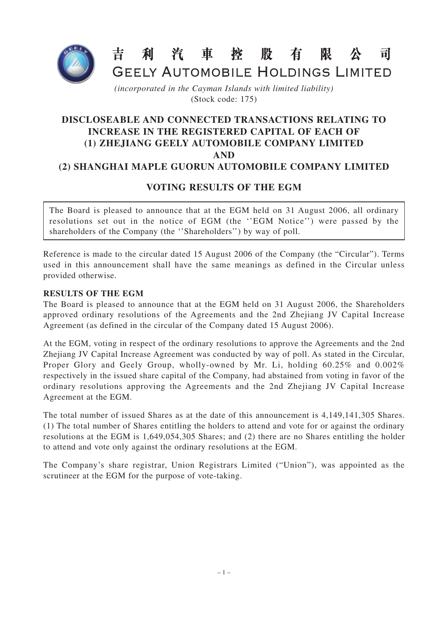

## 利汽車控 昔 股有 限 司

GEELY AUTOMOBILE HOLDINGS LIMITED

*(incorporated in the Cayman Islands with limited liability)* (Stock code: 175)

## **DISCLOSEABLE AND CONNECTED TRANSACTIONS RELATING TO INCREASE IN THE REGISTERED CAPITAL OF EACH OF (1) ZHEJIANG GEELY AUTOMOBILE COMPANY LIMITED AND (2) SHANGHAI MAPLE GUORUN AUTOMOBILE COMPANY LIMITED**

## **VOTING RESULTS OF THE EGM**

The Board is pleased to announce that at the EGM held on 31 August 2006, all ordinary resolutions set out in the notice of EGM (the ''EGM Notice'') were passed by the shareholders of the Company (the "Shareholders") by way of poll.

Reference is made to the circular dated 15 August 2006 of the Company (the "Circular"). Terms used in this announcement shall have the same meanings as defined in the Circular unless provided otherwise.

## **RESULTS OF THE EGM**

The Board is pleased to announce that at the EGM held on 31 August 2006, the Shareholders approved ordinary resolutions of the Agreements and the 2nd Zhejiang JV Capital Increase Agreement (as defined in the circular of the Company dated 15 August 2006).

At the EGM, voting in respect of the ordinary resolutions to approve the Agreements and the 2nd Zhejiang JV Capital Increase Agreement was conducted by way of poll. As stated in the Circular, Proper Glory and Geely Group, wholly-owned by Mr. Li, holding 60.25% and 0.002% respectively in the issued share capital of the Company, had abstained from voting in favor of the ordinary resolutions approving the Agreements and the 2nd Zhejiang JV Capital Increase Agreement at the EGM.

The total number of issued Shares as at the date of this announcement is 4,149,141,305 Shares. (1) The total number of Shares entitling the holders to attend and vote for or against the ordinary resolutions at the EGM is 1,649,054,305 Shares; and (2) there are no Shares entitling the holder to attend and vote only against the ordinary resolutions at the EGM.

The Company's share registrar, Union Registrars Limited ("Union"), was appointed as the scrutineer at the EGM for the purpose of vote-taking.